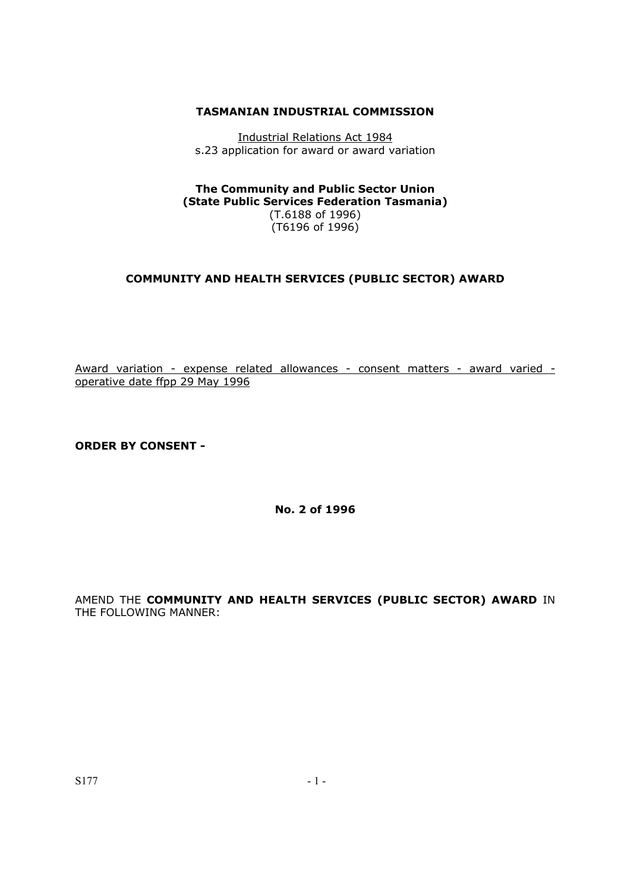## **TASMANIAN INDUSTRIAL COMMISSION**

Industrial Relations Act 1984 s.23 application for award or award variation

**The Community and Public Sector Union (State Public Services Federation Tasmania)**  (T.6188 of 1996) (T6196 of 1996)

## **COMMUNITY AND HEALTH SERVICES (PUBLIC SECTOR) AWARD**

Award variation - expense related allowances - consent matters - award varied operative date ffpp 29 May 1996

**ORDER BY CONSENT -** 

**No. 2 of 1996** 

AMEND THE **COMMUNITY AND HEALTH SERVICES (PUBLIC SECTOR) AWARD** IN THE FOLLOWING MANNER: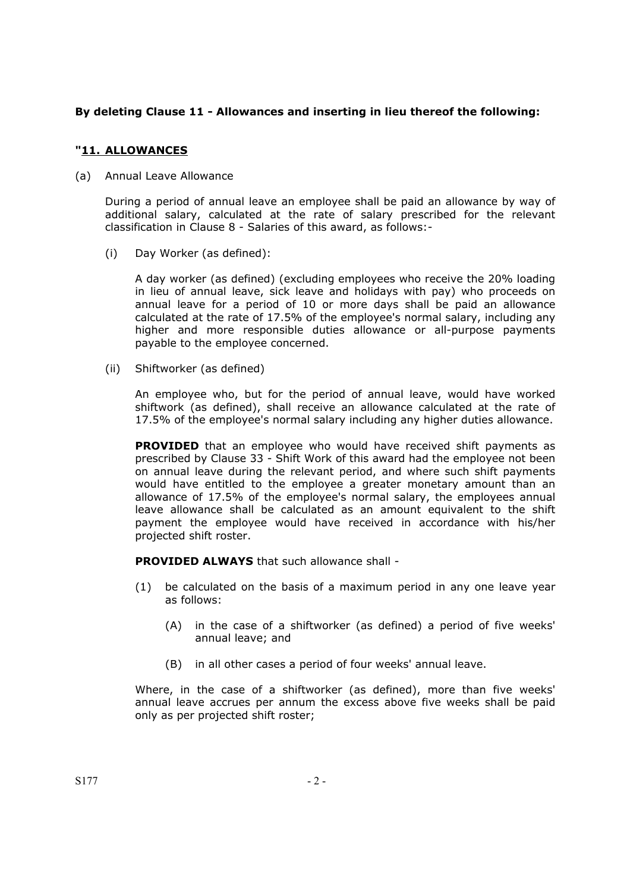# **By deleting Clause 11 - Allowances and inserting in lieu thereof the following:**

# **"11. ALLOWANCES**

(a) Annual Leave Allowance

During a period of annual leave an employee shall be paid an allowance by way of additional salary, calculated at the rate of salary prescribed for the relevant classification in Clause 8 - Salaries of this award, as follows:-

(i) Day Worker (as defined):

A day worker (as defined) (excluding employees who receive the 20% loading in lieu of annual leave, sick leave and holidays with pay) who proceeds on annual leave for a period of 10 or more days shall be paid an allowance calculated at the rate of 17.5% of the employee's normal salary, including any higher and more responsible duties allowance or all-purpose payments payable to the employee concerned.

(ii) Shiftworker (as defined)

An employee who, but for the period of annual leave, would have worked shiftwork (as defined), shall receive an allowance calculated at the rate of 17.5% of the employee's normal salary including any higher duties allowance.

**PROVIDED** that an employee who would have received shift payments as prescribed by Clause 33 - Shift Work of this award had the employee not been on annual leave during the relevant period, and where such shift payments would have entitled to the employee a greater monetary amount than an allowance of 17.5% of the employee's normal salary, the employees annual leave allowance shall be calculated as an amount equivalent to the shift payment the employee would have received in accordance with his/her projected shift roster.

**PROVIDED ALWAYS** that such allowance shall -

- (1) be calculated on the basis of a maximum period in any one leave year as follows:
	- (A) in the case of a shiftworker (as defined) a period of five weeks' annual leave; and
	- (B) in all other cases a period of four weeks' annual leave.

Where, in the case of a shiftworker (as defined), more than five weeks' annual leave accrues per annum the excess above five weeks shall be paid only as per projected shift roster;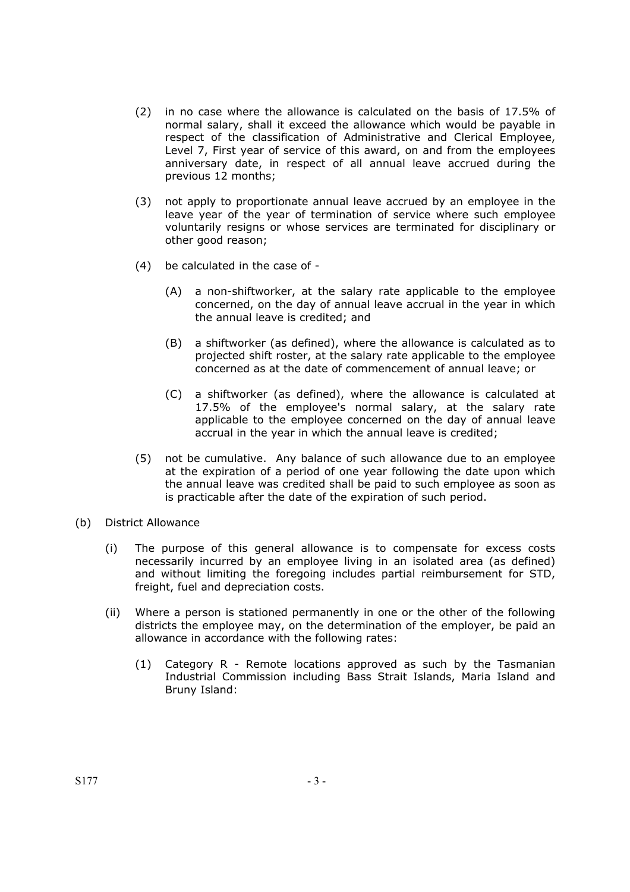- (2) in no case where the allowance is calculated on the basis of 17.5% of normal salary, shall it exceed the allowance which would be payable in respect of the classification of Administrative and Clerical Employee, Level 7, First year of service of this award, on and from the employees anniversary date, in respect of all annual leave accrued during the previous 12 months;
- (3) not apply to proportionate annual leave accrued by an employee in the leave year of the year of termination of service where such employee voluntarily resigns or whose services are terminated for disciplinary or other good reason;
- (4) be calculated in the case of
	- (A) a non-shiftworker, at the salary rate applicable to the employee concerned, on the day of annual leave accrual in the year in which the annual leave is credited; and
	- (B) a shiftworker (as defined), where the allowance is calculated as to projected shift roster, at the salary rate applicable to the employee concerned as at the date of commencement of annual leave; or
	- (C) a shiftworker (as defined), where the allowance is calculated at 17.5% of the employee's normal salary, at the salary rate applicable to the employee concerned on the day of annual leave accrual in the year in which the annual leave is credited;
- (5) not be cumulative. Any balance of such allowance due to an employee at the expiration of a period of one year following the date upon which the annual leave was credited shall be paid to such employee as soon as is practicable after the date of the expiration of such period.
- (b) District Allowance
	- (i) The purpose of this general allowance is to compensate for excess costs necessarily incurred by an employee living in an isolated area (as defined) and without limiting the foregoing includes partial reimbursement for STD, freight, fuel and depreciation costs.
	- (ii) Where a person is stationed permanently in one or the other of the following districts the employee may, on the determination of the employer, be paid an allowance in accordance with the following rates:
		- (1) Category R Remote locations approved as such by the Tasmanian Industrial Commission including Bass Strait Islands, Maria Island and Bruny Island: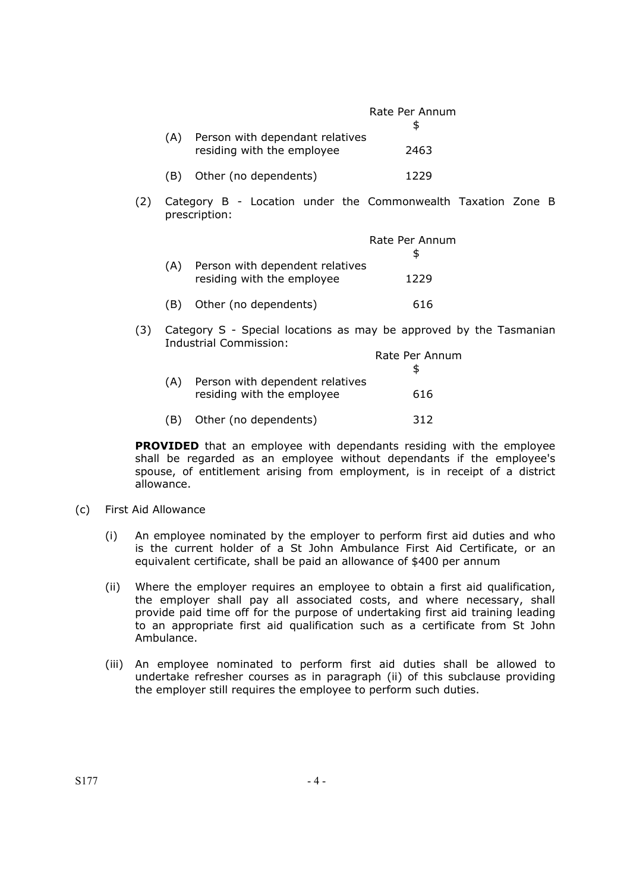|     |                                 | Rate Per Annum |
|-----|---------------------------------|----------------|
| (A) | Person with dependant relatives |                |
|     | residing with the employee      | 2463           |
| (B) | Other (no dependents)           | 1229           |

(2) Category B - Location under the Commonwealth Taxation Zone B prescription:

|     |                                                     | Rate Per Annum |
|-----|-----------------------------------------------------|----------------|
| (A) | Person with dependent relatives                     |                |
| (B) | residing with the employee<br>Other (no dependents) | 1229<br>616    |
|     |                                                     |                |

(3) Category S - Special locations as may be approved by the Tasmanian Industrial Commission:

|     |                                                               | Rate Per Annum |
|-----|---------------------------------------------------------------|----------------|
| (A) | Person with dependent relatives<br>residing with the employee | 616            |
| (B) | Other (no dependents)                                         | 312            |

**PROVIDED** that an employee with dependants residing with the employee shall be regarded as an employee without dependants if the employee's spouse, of entitlement arising from employment, is in receipt of a district allowance.

- (c) First Aid Allowance
	- (i) An employee nominated by the employer to perform first aid duties and who is the current holder of a St John Ambulance First Aid Certificate, or an equivalent certificate, shall be paid an allowance of \$400 per annum
	- (ii) Where the employer requires an employee to obtain a first aid qualification, the employer shall pay all associated costs, and where necessary, shall provide paid time off for the purpose of undertaking first aid training leading to an appropriate first aid qualification such as a certificate from St John Ambulance.
	- (iii) An employee nominated to perform first aid duties shall be allowed to undertake refresher courses as in paragraph (ii) of this subclause providing the employer still requires the employee to perform such duties.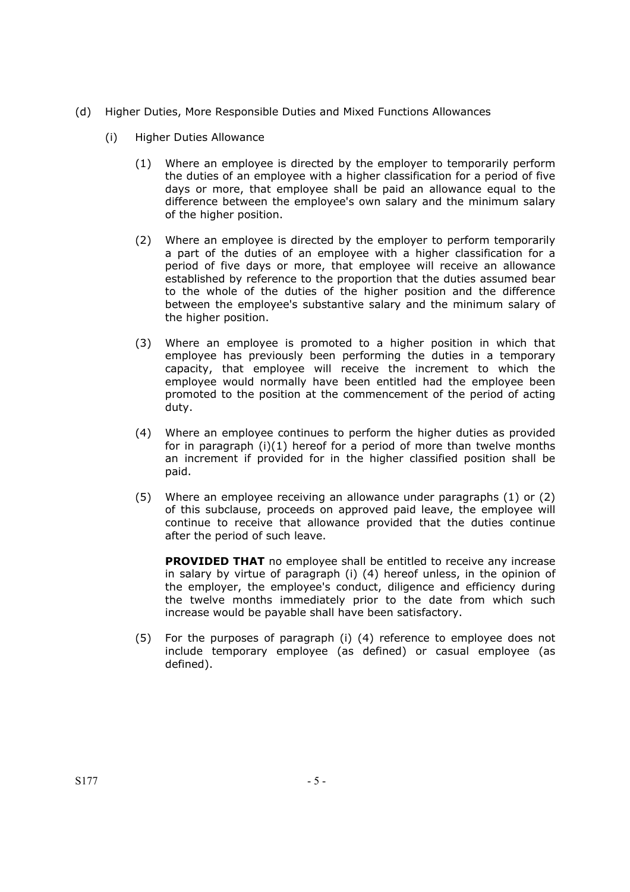- (d) Higher Duties, More Responsible Duties and Mixed Functions Allowances
	- (i) Higher Duties Allowance
		- (1) Where an employee is directed by the employer to temporarily perform the duties of an employee with a higher classification for a period of five days or more, that employee shall be paid an allowance equal to the difference between the employee's own salary and the minimum salary of the higher position.
		- (2) Where an employee is directed by the employer to perform temporarily a part of the duties of an employee with a higher classification for a period of five days or more, that employee will receive an allowance established by reference to the proportion that the duties assumed bear to the whole of the duties of the higher position and the difference between the employee's substantive salary and the minimum salary of the higher position.
		- (3) Where an employee is promoted to a higher position in which that employee has previously been performing the duties in a temporary capacity, that employee will receive the increment to which the employee would normally have been entitled had the employee been promoted to the position at the commencement of the period of acting duty.
		- (4) Where an employee continues to perform the higher duties as provided for in paragraph (i)(1) hereof for a period of more than twelve months an increment if provided for in the higher classified position shall be paid.
		- (5) Where an employee receiving an allowance under paragraphs (1) or (2) of this subclause, proceeds on approved paid leave, the employee will continue to receive that allowance provided that the duties continue after the period of such leave.

**PROVIDED THAT** no employee shall be entitled to receive any increase in salary by virtue of paragraph (i) (4) hereof unless, in the opinion of the employer, the employee's conduct, diligence and efficiency during the twelve months immediately prior to the date from which such increase would be payable shall have been satisfactory.

(5) For the purposes of paragraph (i) (4) reference to employee does not include temporary employee (as defined) or casual employee (as defined).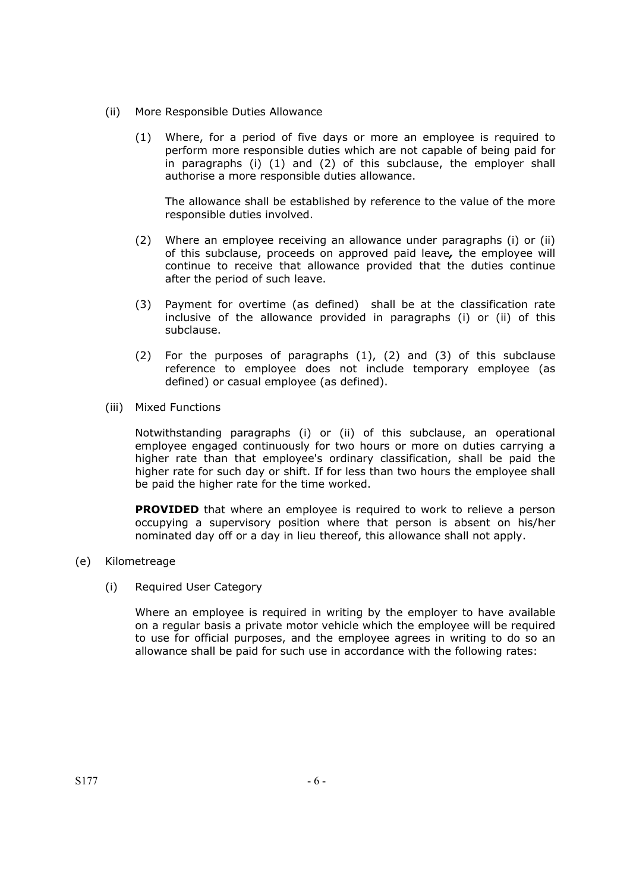- (ii) More Responsible Duties Allowance
	- (1) Where, for a period of five days or more an employee is required to perform more responsible duties which are not capable of being paid for in paragraphs (i) (1) and (2) of this subclause, the employer shall authorise a more responsible duties allowance.

The allowance shall be established by reference to the value of the more responsible duties involved.

- (2) Where an employee receiving an allowance under paragraphs (i) or (ii) of this subclause, proceeds on approved paid leave*,* the employee will continue to receive that allowance provided that the duties continue after the period of such leave.
- (3) Payment for overtime (as defined) shall be at the classification rate inclusive of the allowance provided in paragraphs (i) or (ii) of this subclause.
- (2) For the purposes of paragraphs (1), (2) and (3) of this subclause reference to employee does not include temporary employee (as defined) or casual employee (as defined).
- (iii) Mixed Functions

Notwithstanding paragraphs (i) or (ii) of this subclause, an operational employee engaged continuously for two hours or more on duties carrying a higher rate than that employee's ordinary classification, shall be paid the higher rate for such day or shift. If for less than two hours the employee shall be paid the higher rate for the time worked.

**PROVIDED** that where an employee is required to work to relieve a person occupying a supervisory position where that person is absent on his/her nominated day off or a day in lieu thereof, this allowance shall not apply.

- (e) Kilometreage
	- (i) Required User Category

Where an employee is required in writing by the employer to have available on a regular basis a private motor vehicle which the employee will be required to use for official purposes, and the employee agrees in writing to do so an allowance shall be paid for such use in accordance with the following rates: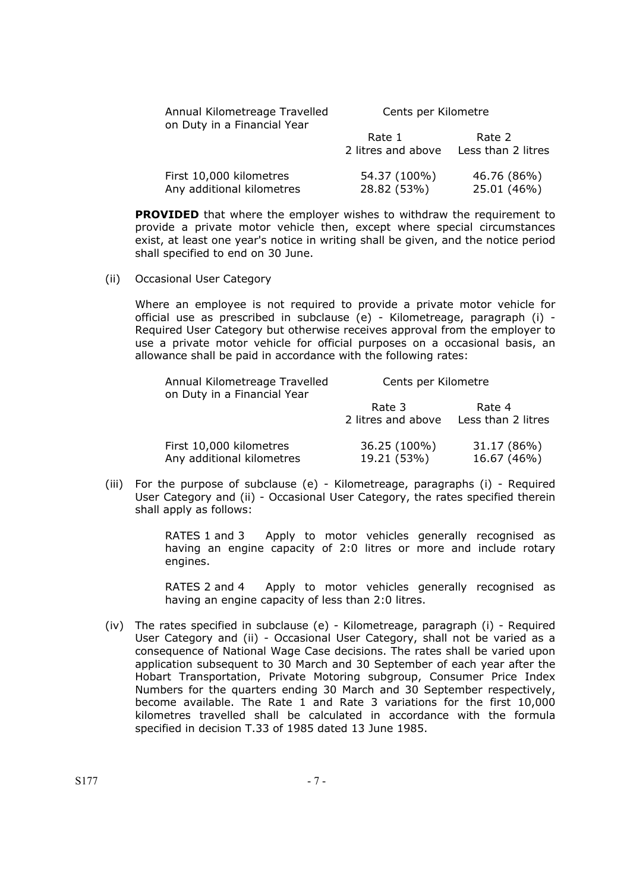| Annual Kilometreage Travelled<br>on Duty in a Financial Year | Cents per Kilometre          |                              |
|--------------------------------------------------------------|------------------------------|------------------------------|
|                                                              | Rate 1<br>2 litres and above | Rate 2<br>Less than 2 litres |
| First 10,000 kilometres<br>Any additional kilometres         | 54.37 (100%)<br>28.82 (53%)  | 46.76 (86%)<br>25.01 (46%)   |

**PROVIDED** that where the employer wishes to withdraw the requirement to provide a private motor vehicle then, except where special circumstances exist, at least one year's notice in writing shall be given, and the notice period shall specified to end on 30 June.

(ii) Occasional User Category

Where an employee is not required to provide a private motor vehicle for official use as prescribed in subclause (e) - Kilometreage, paragraph (i) - Required User Category but otherwise receives approval from the employer to use a private motor vehicle for official purposes on a occasional basis, an allowance shall be paid in accordance with the following rates:

| Annual Kilometreage Travelled<br>on Duty in a Financial Year | Cents per Kilometre          |                              |
|--------------------------------------------------------------|------------------------------|------------------------------|
|                                                              | Rate 3<br>2 litres and above | Rate 4<br>Less than 2 litres |
| First 10,000 kilometres<br>Any additional kilometres         | 36.25 (100%)<br>19.21 (53%)  | 31.17 (86%)<br>16.67 (46%)   |

 (iii) For the purpose of subclause (e) - Kilometreage, paragraphs (i) - Required User Category and (ii) - Occasional User Category, the rates specified therein shall apply as follows:

> RATES 1 and 3 Apply to motor vehicles generally recognised as having an engine capacity of 2:0 litres or more and include rotary engines.

> RATES 2 and 4 Apply to motor vehicles generally recognised as having an engine capacity of less than 2:0 litres.

(iv) The rates specified in subclause (e) - Kilometreage, paragraph (i) - Required User Category and (ii) - Occasional User Category, shall not be varied as a consequence of National Wage Case decisions. The rates shall be varied upon application subsequent to 30 March and 30 September of each year after the Hobart Transportation, Private Motoring subgroup, Consumer Price Index Numbers for the quarters ending 30 March and 30 September respectively, become available. The Rate 1 and Rate 3 variations for the first 10,000 kilometres travelled shall be calculated in accordance with the formula specified in decision T.33 of 1985 dated 13 June 1985.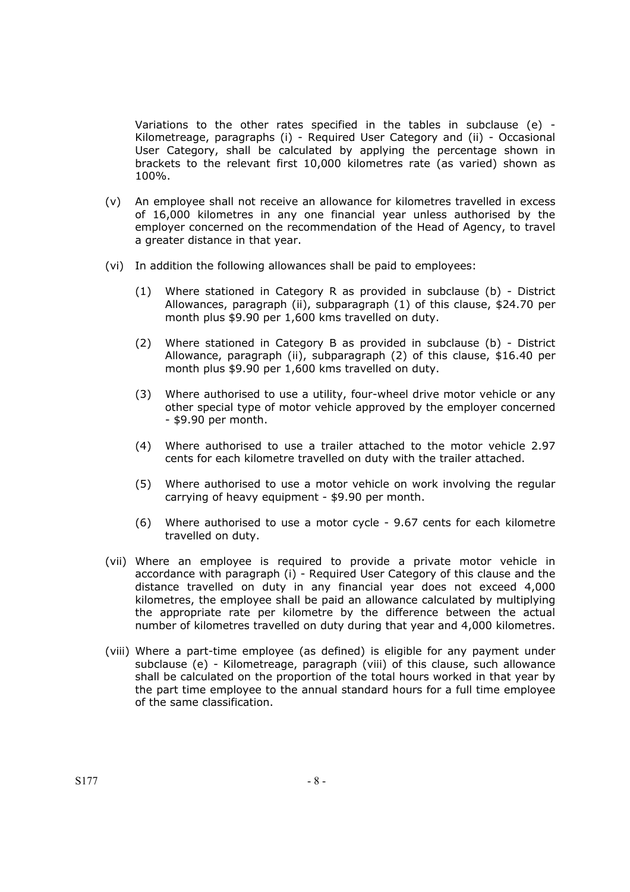Variations to the other rates specified in the tables in subclause (e) - Kilometreage, paragraphs (i) - Required User Category and (ii) - Occasional User Category, shall be calculated by applying the percentage shown in brackets to the relevant first 10,000 kilometres rate (as varied) shown as 100%.

- (v) An employee shall not receive an allowance for kilometres travelled in excess of 16,000 kilometres in any one financial year unless authorised by the employer concerned on the recommendation of the Head of Agency, to travel a greater distance in that year.
- (vi) In addition the following allowances shall be paid to employees:
	- (1) Where stationed in Category R as provided in subclause (b) District Allowances, paragraph (ii), subparagraph (1) of this clause, \$24.70 per month plus \$9.90 per 1,600 kms travelled on duty.
	- (2) Where stationed in Category B as provided in subclause (b) District Allowance, paragraph (ii), subparagraph (2) of this clause, \$16.40 per month plus \$9.90 per 1,600 kms travelled on duty.
	- (3) Where authorised to use a utility, four-wheel drive motor vehicle or any other special type of motor vehicle approved by the employer concerned - \$9.90 per month.
	- (4) Where authorised to use a trailer attached to the motor vehicle 2.97 cents for each kilometre travelled on duty with the trailer attached.
	- (5) Where authorised to use a motor vehicle on work involving the regular carrying of heavy equipment - \$9.90 per month.
	- (6) Where authorised to use a motor cycle 9.67 cents for each kilometre travelled on duty.
- (vii) Where an employee is required to provide a private motor vehicle in accordance with paragraph (i) - Required User Category of this clause and the distance travelled on duty in any financial year does not exceed 4,000 kilometres, the employee shall be paid an allowance calculated by multiplying the appropriate rate per kilometre by the difference between the actual number of kilometres travelled on duty during that year and 4,000 kilometres.
- (viii) Where a part-time employee (as defined) is eligible for any payment under subclause (e) - Kilometreage, paragraph (viii) of this clause, such allowance shall be calculated on the proportion of the total hours worked in that year by the part time employee to the annual standard hours for a full time employee of the same classification.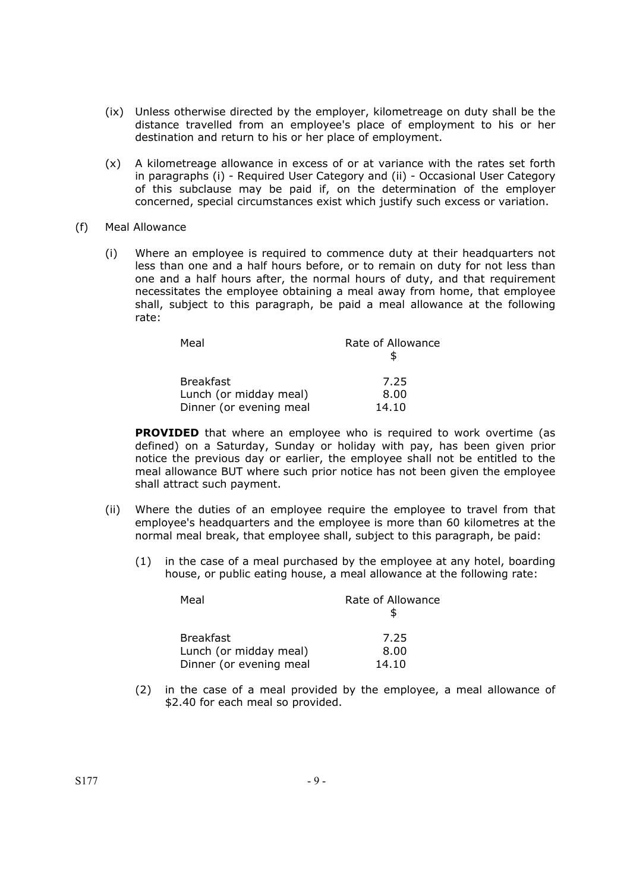- (ix) Unless otherwise directed by the employer, kilometreage on duty shall be the distance travelled from an employee's place of employment to his or her destination and return to his or her place of employment.
- (x) A kilometreage allowance in excess of or at variance with the rates set forth in paragraphs (i) - Required User Category and (ii) - Occasional User Category of this subclause may be paid if, on the determination of the employer concerned, special circumstances exist which justify such excess or variation.
- (f) Meal Allowance
	- (i) Where an employee is required to commence duty at their headquarters not less than one and a half hours before, or to remain on duty for not less than one and a half hours after, the normal hours of duty, and that requirement necessitates the employee obtaining a meal away from home, that employee shall, subject to this paragraph, be paid a meal allowance at the following rate:

| Meal                    | Rate of Allowance |
|-------------------------|-------------------|
|                         |                   |
| <b>Breakfast</b>        | 7.25              |
| Lunch (or midday meal)  | 8.00              |
| Dinner (or evening meal | 14.10             |

**PROVIDED** that where an employee who is required to work overtime (as defined) on a Saturday, Sunday or holiday with pay, has been given prior notice the previous day or earlier, the employee shall not be entitled to the meal allowance BUT where such prior notice has not been given the employee shall attract such payment.

- (ii) Where the duties of an employee require the employee to travel from that employee's headquarters and the employee is more than 60 kilometres at the normal meal break, that employee shall, subject to this paragraph, be paid:
	- (1) in the case of a meal purchased by the employee at any hotel, boarding house, or public eating house, a meal allowance at the following rate:

| Meal                    | Rate of Allowance |
|-------------------------|-------------------|
| <b>Breakfast</b>        | 7.25              |
| Lunch (or midday meal)  | 8.00              |
| Dinner (or evening meal | 14.10             |

(2) in the case of a meal provided by the employee, a meal allowance of \$2.40 for each meal so provided.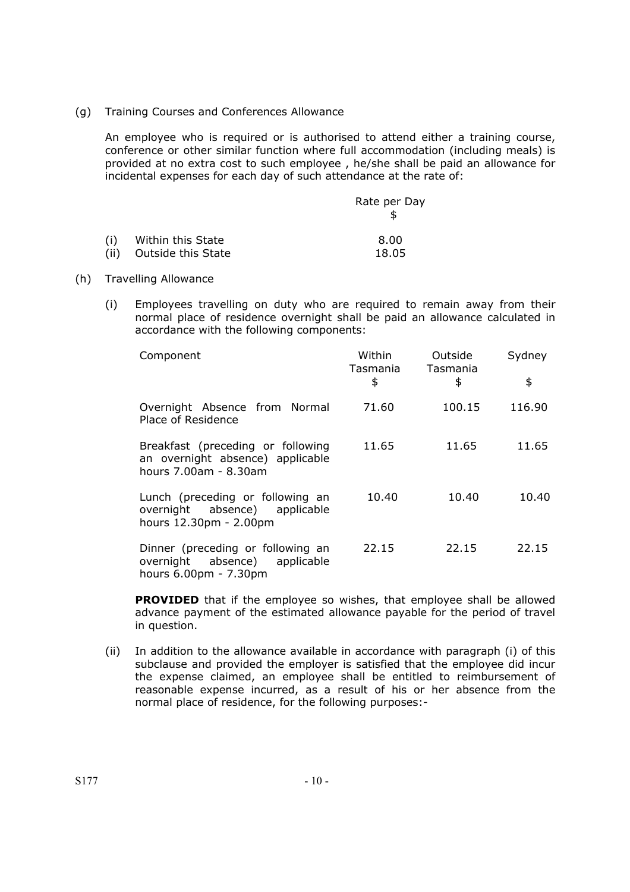(g) Training Courses and Conferences Allowance

An employee who is required or is authorised to attend either a training course, conference or other similar function where full accommodation (including meals) is provided at no extra cost to such employee , he/she shall be paid an allowance for incidental expenses for each day of such attendance at the rate of:

|     |                    | Rate per Day |
|-----|--------------------|--------------|
| (i) | Within this State  | 8.00         |
| (i) | Outside this State | 18.05        |

#### (h) Travelling Allowance

(i) Employees travelling on duty who are required to remain away from their normal place of residence overnight shall be paid an allowance calculated in accordance with the following components:

| Component                                                                                      | Within<br>Tasmania<br>\$ | Outside<br>Tasmania<br>\$ | Sydney<br>\$ |
|------------------------------------------------------------------------------------------------|--------------------------|---------------------------|--------------|
| Overnight Absence from Normal<br>Place of Residence                                            | 71.60                    | 100.15                    | 116.90       |
| Breakfast (preceding or following<br>an overnight absence) applicable<br>hours 7.00am - 8.30am | 11.65                    | 11.65                     | 11.65        |
| Lunch (preceding or following an<br>overnight absence) applicable<br>hours 12.30pm - 2.00pm    | 10.40                    | 10.40                     | 10.40        |
| Dinner (preceding or following an<br>overnight absence) applicable<br>hours 6.00pm - 7.30pm    | 22.15                    | 22.15                     | 22.15        |

**PROVIDED** that if the employee so wishes, that employee shall be allowed advance payment of the estimated allowance payable for the period of travel in question.

(ii) In addition to the allowance available in accordance with paragraph (i) of this subclause and provided the employer is satisfied that the employee did incur the expense claimed, an employee shall be entitled to reimbursement of reasonable expense incurred, as a result of his or her absence from the normal place of residence, for the following purposes:-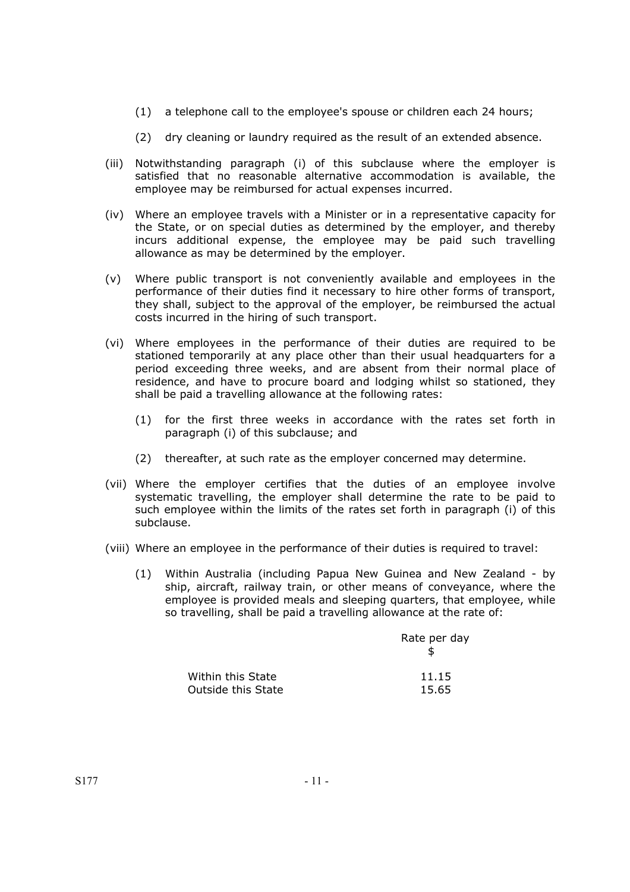- (1) a telephone call to the employee's spouse or children each 24 hours;
- (2) dry cleaning or laundry required as the result of an extended absence.
- (iii) Notwithstanding paragraph (i) of this subclause where the employer is satisfied that no reasonable alternative accommodation is available, the employee may be reimbursed for actual expenses incurred.
- (iv) Where an employee travels with a Minister or in a representative capacity for the State, or on special duties as determined by the employer, and thereby incurs additional expense, the employee may be paid such travelling allowance as may be determined by the employer.
- (v) Where public transport is not conveniently available and employees in the performance of their duties find it necessary to hire other forms of transport, they shall, subject to the approval of the employer, be reimbursed the actual costs incurred in the hiring of such transport.
- (vi) Where employees in the performance of their duties are required to be stationed temporarily at any place other than their usual headquarters for a period exceeding three weeks, and are absent from their normal place of residence, and have to procure board and lodging whilst so stationed, they shall be paid a travelling allowance at the following rates:
	- (1) for the first three weeks in accordance with the rates set forth in paragraph (i) of this subclause; and
	- (2) thereafter, at such rate as the employer concerned may determine.
- (vii) Where the employer certifies that the duties of an employee involve systematic travelling, the employer shall determine the rate to be paid to such employee within the limits of the rates set forth in paragraph (i) of this subclause.
- (viii) Where an employee in the performance of their duties is required to travel:
	- (1) Within Australia (including Papua New Guinea and New Zealand by ship, aircraft, railway train, or other means of conveyance, where the employee is provided meals and sleeping quarters, that employee, while so travelling, shall be paid a travelling allowance at the rate of:

|                    | Rate per day |
|--------------------|--------------|
| Within this State  | 11.15        |
| Outside this State | 15.65        |